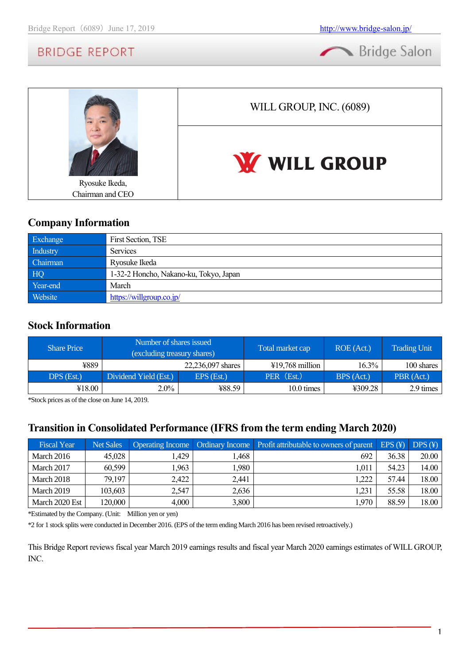

|                                    | WILL GROUP, INC. (6089) |  |
|------------------------------------|-------------------------|--|
|                                    | <b>W</b> WILL GROUP     |  |
| Ryosuke Ikeda,<br>Chairman and CEO |                         |  |

# **Company Information**

| Exchange | First Section, TSE                     |
|----------|----------------------------------------|
| Industry | <b>Services</b>                        |
| Chairman | Ryosuke Ikeda                          |
| HQ       | 1-32-2 Honcho, Nakano-ku, Tokyo, Japan |
| Year-end | March                                  |
| Website  | https://willgroup.co.jp/               |

# **Stock Information**

| <b>Share Price</b> | Number of shares issued<br>(excluding treasury shares) |                   | Total market cap          | ROE (Act.) | <b>Trading Unit</b> |
|--------------------|--------------------------------------------------------|-------------------|---------------------------|------------|---------------------|
| ¥889               |                                                        | 22,236,097 shares | $\text{\#}19,768$ million | $16.3\%$   | 100 shares          |
| DPS (Est.)         | Dividend Yield (Est.)                                  | EPS (Est.)        | PER (Est.)                | BPS (Act.) | PBR (Act.)          |
| ¥18.00             | $2.0\%$                                                | ¥88.59            | $10.0 \text{ times}$      | ¥309.28    | 2.9 times           |

\*Stock prices as of the close on June 14, 2019.

# **Transition in Consolidated Performance (IFRS from the term ending March 2020)**

| <b>Fiscal Year</b> | <b>Net Sales</b> |       |       | Operating Income Ordinary Income Profit attributable to owners of parent EPS $(\frac{2}{3})$ DPS $(\frac{2}{3})$ |       |       |
|--------------------|------------------|-------|-------|------------------------------------------------------------------------------------------------------------------|-------|-------|
| March 2016         | 45,028           | 1.429 | 1,468 | 692                                                                                                              | 36.38 | 20.00 |
| March 2017         | 60,599           | 1,963 | 1,980 | 1,01!                                                                                                            | 54.23 | 14.00 |
| March 2018         | 79,197           | 2,422 | 2,441 | 222                                                                                                              | 57.44 | 18.00 |
| <b>March 2019</b>  | 103,603          | 2,547 | 2,636 | 1,231                                                                                                            | 55.58 | 18.00 |
| March 2020 Est     | 120,000          | 4,000 | 3,800 | 1,970                                                                                                            | 88.59 | 18.00 |

\*Estimated by the Company. (Unit: Million yen or yen)

\*2 for 1 stock splits were conducted in December 2016. (EPS of the term ending March 2016 has been revised retroactively.)

This Bridge Report reviews fiscal year March 2019 earnings results and fiscal year March 2020 earnings estimates of WILL GROUP, INC.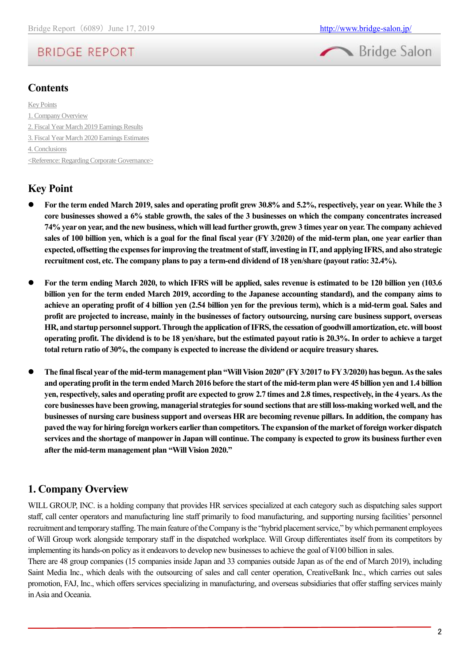

# **Contents**

Key Points 1. Company Overview 2. Fiscal Year March 2019 Earnings Results 3. Fiscal Year March 2020 Earnings Estimates 4. Conclusions <Reference: Regarding Corporate Governance>

# **Key Point**

- ⚫ **For the term ended March 2019, sales and operating profit grew 30.8% and 5.2%, respectively, year on year. While the 3 core businesses showed a 6% stable growth, the sales of the 3 businesses on which the company concentrates increased 74% year on year, and the new business, which will lead further growth, grew 3 times year on year. The company achieved sales of 100 billion yen, which is a goal for the final fiscal year (FY 3/2020) of the mid-term plan, one year earlier than expected, offsetting the expenses for improving the treatment of staff, investing in IT, and applying IFRS, and also strategic recruitment cost, etc. The company plans to pay a term-end dividend of 18 yen/share (payout ratio: 32.4%).**
- ⚫ **For the term ending March 2020, to which IFRS will be applied, sales revenue is estimated to be 120 billion yen (103.6 billion yen for the term ended March 2019, according to the Japanese accounting standard), and the company aims to achieve an operating profit of 4 billion yen (2.54 billion yen for the previous term), which is a mid-term goal. Sales and profit are projected to increase, mainly in the businesses of factory outsourcing, nursing care business support, overseas HR, and startup personnel support. Through the application of IFRS, the cessation of goodwill amortization, etc. will boost operating profit. The dividend is to be 18 yen/share, but the estimated payout ratio is 20.3%. In order to achieve a target total return ratio of 30%, the company is expected to increase the dividend or acquire treasury shares.**
- ⚫ **The final fiscal year of the mid-term management plan "Will Vision 2020" (FY 3/2017 to FY 3/2020) has begun. As the sales and operating profit in the term ended March 2016 before the start of the mid-term plan were 45 billion yen and 1.4 billion yen, respectively, sales and operating profit are expected to grow 2.7 times and 2.8 times, respectively, in the 4 years.As the core businesses have been growing, managerial strategies for sound sections that are still loss-making worked well, and the businesses of nursing care business support and overseas HR are becoming revenue pillars. In addition, the company has paved the way for hiring foreign workers earlier than competitors. The expansion of the market of foreign worker dispatch services and the shortage of manpower in Japan will continue. The company is expected to grow its business further even after the mid-term management plan "Will Vision 2020."**

# **1. Company Overview**

WILL GROUP, INC. is a holding company that provides HR services specialized at each category such as dispatching sales support staff, call center operators and manufacturing line staff primarily to food manufacturing, and supporting nursing facilities' personnel recruitment and temporary staffing. The main feature of the Company is the "hybrid placement service," by which permanent employees of Will Group work alongside temporary staff in the dispatched workplace. Will Group differentiates itself from its competitors by implementing its hands-on policy as it endeavors to develop new businesses to achieve the goal of ¥100 billion in sales.

There are 48 group companies (15 companies inside Japan and 33 companies outside Japan as of the end of March 2019), including Saint Media Inc., which deals with the outsourcing of sales and call center operation, CreativeBank Inc., which carries out sales promotion, FAJ, Inc., which offers services specializing in manufacturing, and overseas subsidiaries that offer staffing services mainly in Asia and Oceania.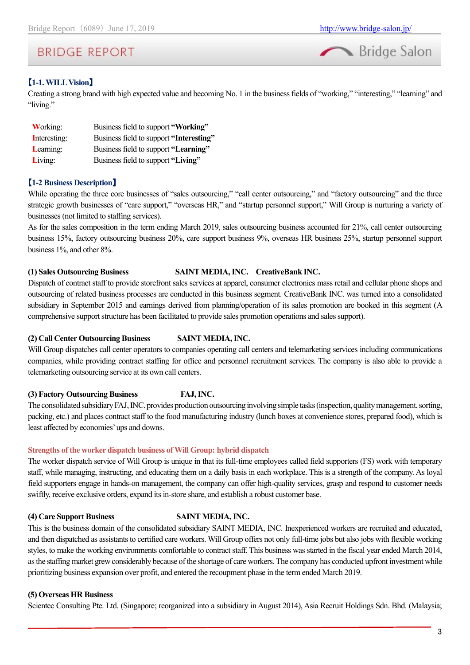

# 【**1-1. WILL Vision**】

Creating a strong brand with high expected value and becoming No. 1 in the business fields of "working," "interesting," "learning" and "living."

| <b>Working:</b> | Business field to support "Working"     |
|-----------------|-----------------------------------------|
| Interesting:    | Business field to support "Interesting" |
| Learning:       | Business field to support "Learning"    |
| Living:         | Business field to support "Living"      |

# 【**1-2 Business Description**】

While operating the three core businesses of "sales outsourcing," "call center outsourcing," and "factory outsourcing" and the three strategic growth businesses of "care support," "overseas HR," and "startup personnel support," Will Group is nurturing a variety of businesses (not limited to staffing services).

As for the sales composition in the term ending March 2019, sales outsourcing business accounted for 21%, call center outsourcing business 15%, factory outsourcing business 20%, care support business 9%, overseas HR business 25%, startup personnel support business 1%, and other 8%.

## **(1) Sales Outsourcing Business SAINT MEDIA, INC. CreativeBank INC.**

Dispatch of contract staff to provide storefront sales services at apparel, consumer electronics mass retail and cellular phone shops and outsourcing of related business processes are conducted in this business segment. CreativeBank INC. was turned into a consolidated subsidiary in September 2015 and earnings derived from planning/operation of its sales promotion are booked in this segment (A comprehensive support structure has been facilitated to provide sales promotion operations and sales support).

## **(2) Call Center Outsourcing Business SAINT MEDIA, INC.**

Will Group dispatches call center operators to companies operating call centers and telemarketing services including communications companies, while providing contract staffing for office and personnel recruitment services. The company is also able to provide a telemarketing outsourcing service at its own call centers.

## **(3) Factory Outsourcing Business FAJ, INC.**

The consolidated subsidiary FAJ, INC. provides production outsourcing involving simple tasks (inspection, quality management, sorting, packing, etc.) and places contract staff to the food manufacturing industry (lunch boxes at convenience stores, prepared food), which is least affected by economies' ups and downs.

## **Strengths of the worker dispatch business of Will Group: hybrid dispatch**

The worker dispatch service of Will Group is unique in that its full-time employees called field supporters (FS) work with temporary staff, while managing, instructing, and educating them on a daily basis in each workplace. This is a strength of the company. As loyal field supporters engage in hands-on management, the company can offer high-quality services, grasp and respond to customer needs swiftly, receive exclusive orders, expand its in-store share, and establish a robust customer base.

## **(4) Care Support Business SAINT MEDIA, INC.**

This is the business domain of the consolidated subsidiary SAINT MEDIA, INC. Inexperienced workers are recruited and educated, and then dispatched as assistants to certified care workers. Will Group offers not only full-time jobs but also jobs with flexible working styles, to make the working environments comfortable to contract staff. This business was started in the fiscal year ended March 2014, as the staffing market grew considerably because of the shortage of care workers. The company has conducted upfront investment while prioritizing business expansion over profit, and entered the recoupment phase in the term ended March 2019.

## **(5) Overseas HR Business**

Scientec Consulting Pte. Ltd. (Singapore; reorganized into a subsidiary in August 2014), Asia Recruit Holdings Sdn. Bhd. (Malaysia;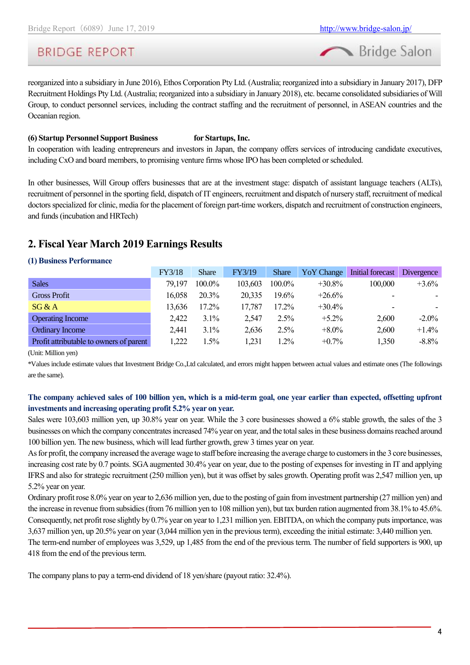# **BRIDGE REPORT**

reorganized into a subsidiary in June 2016), Ethos Corporation Pty Ltd. (Australia; reorganized into a subsidiary in January 2017), DFP Recruitment Holdings Pty Ltd. (Australia; reorganized into a subsidiary in January 2018), etc. became consolidated subsidiaries of Will Group, to conduct personnel services, including the contract staffing and the recruitment of personnel, in ASEAN countries and the Oceanian region.

# **(6) Startup Personnel Support Business for Startups, Inc.**

In cooperation with leading entrepreneurs and investors in Japan, the company offers services of introducing candidate executives, including CxO and board members, to promising venture firms whose IPO has been completed or scheduled.

In other businesses, Will Group offers businesses that are at the investment stage: dispatch of assistant language teachers (ALTs), recruitment of personnel in the sporting field, dispatch of IT engineers, recruitment and dispatch of nursery staff, recruitment of medical doctors specialized for clinic, media for the placement of foreign part-time workers, dispatch and recruitment of construction engineers, and funds (incubation and HRTech)

# **2. Fiscal Year March 2019 Earnings Results**

# **(1) Business Performance**

|                                         | FY3/18 | <b>Share</b> | FY3/19  | <b>Share</b> | YoY Change | Initial forecast | Divergence |
|-----------------------------------------|--------|--------------|---------|--------------|------------|------------------|------------|
| <b>Sales</b>                            | 79.197 | $100.0\%$    | 103,603 | $100.0\%$    | $+30.8\%$  | 100,000          | $+3.6\%$   |
| <b>Gross Profit</b>                     | 16,058 | 20.3%        | 20,335  | $19.6\%$     | $+26.6%$   |                  |            |
| SG & A                                  | 13,636 | 17.2%        | 17.787  | $17.2\%$     | $+30.4%$   | ٠                |            |
| <b>Operating Income</b>                 | 2,422  | $3.1\%$      | 2,547   | 2.5%         | $+5.2\%$   | 2,600            | $-2.0\%$   |
| <b>Ordinary Income</b>                  | 2.441  | $3.1\%$      | 2,636   | 2.5%         | $+8.0\%$   | 2,600            | $+1.4\%$   |
| Profit attributable to owners of parent | 1,222  | 1.5%         | 1,231   | 1.2%         | $+0.7\%$   | 1,350            | $-8.8\%$   |

(Unit: Million yen)

\*Values include estimate values that Investment Bridge Co.,Ltd calculated, and errors might happen between actual values and estimate ones (The followings are the same).

# **The company achieved sales of 100 billion yen, which is a mid-term goal, one year earlier than expected, offsetting upfront investments and increasing operating profit 5.2% year on year.**

Sales were 103,603 million yen, up 30.8% year on year. While the 3 core businesses showed a 6% stable growth, the sales of the 3 businesses on which the company concentrates increased 74% year on year, and the total sales in these business domains reached around 100 billion yen. The new business, which will lead further growth, grew 3 times year on year.

As for profit, the company increased the average wage to staff before increasing the average charge to customers in the 3 core businesses, increasing cost rate by 0.7 points. SGA augmented 30.4% year on year, due to the posting of expenses for investing in IT and applying IFRS and also for strategic recruitment (250 million yen), but it was offset by sales growth. Operating profit was 2,547 million yen, up 5.2% year on year.

Ordinary profit rose 8.0% year on year to 2,636 million yen, due to the posting of gain from investment partnership (27 million yen) and the increase in revenue from subsidies (from 76 million yen to 108 million yen), but tax burden ration augmented from 38.1% to 45.6%. Consequently, net profit rose slightly by 0.7% year on year to 1,231 million yen. EBITDA, on which the company puts importance, was 3,637 million yen, up 20.5% year on year (3,044 million yen in the previous term), exceeding the initial estimate: 3,440 million yen.

The term-end number of employees was 3,529, up 1,485 from the end of the previous term. The number of field supporters is 900, up 418 from the end of the previous term.

The company plans to pay a term-end dividend of 18 yen/share (payout ratio: 32.4%).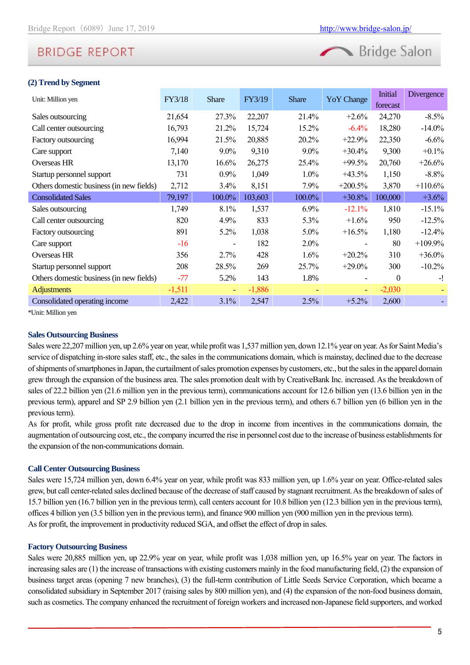

## **(2) Trend by Segment**

| Unit: Million yen                        | FY3/18<br><b>Share</b> |         | FY3/19   | <b>Share</b> | <b>YoY</b> Change | Initial  | Divergence |
|------------------------------------------|------------------------|---------|----------|--------------|-------------------|----------|------------|
|                                          |                        |         |          |              |                   | forecast |            |
| Sales outsourcing                        | 21,654                 | 27.3%   | 22,207   | 21.4%        | $+2.6%$           | 24,270   | $-8.5\%$   |
| Call center outsourcing                  | 16,793                 | 21.2%   | 15,724   | 15.2%        | $-6.4%$           | 18,280   | $-14.0\%$  |
| Factory outsourcing                      | 16,994                 | 21.5%   | 20,885   | 20.2%        | $+22.9%$          | 22,350   | $-6.6\%$   |
| Care support                             | 7,140                  | $9.0\%$ | 9,310    | $9.0\%$      | $+30.4%$          | 9,300    | $+0.1\%$   |
| Overseas HR                              | 13,170                 | 16.6%   | 26,275   | 25.4%        | $+99.5%$          | 20,760   | $+26.6%$   |
| Startup personnel support                | 731                    | 0.9%    | 1,049    | 1.0%         | $+43.5%$          | 1,150    | $-8.8\%$   |
| Others domestic business (in new fields) | 2,712                  | 3.4%    | 8,151    | 7.9%         | $+200.5%$         | 3,870    | $+110.6%$  |
| <b>Consolidated Sales</b>                | 79,197                 | 100.0%  | 103,603  | 100.0%       | $+30.8%$          | 100,000  | $+3.6\%$   |
| Sales outsourcing                        | 1,749                  | 8.1%    | 1,537    | 6.9%         | $-12.1%$          | 1,810    | $-15.1\%$  |
| Call center outsourcing                  | 820                    | 4.9%    | 833      | 5.3%         | $+1.6%$           | 950      | $-12.5%$   |
| Factory outsourcing                      | 891                    | 5.2%    | 1,038    | 5.0%         | $+16.5%$          | 1,180    | $-12.4%$   |
| Care support                             | $-16$                  |         | 182      | 2.0%         |                   | 80       | $+109.9%$  |
| Overseas HR                              | 356                    | 2.7%    | 428      | 1.6%         | $+20.2%$          | 310      | $+36.0%$   |
| Startup personnel support                | 208                    | 28.5%   | 269      | 25.7%        | $+29.0%$          | 300      | $-10.2\%$  |
| Others domestic business (in new fields) | $-77$                  | 5.2%    | 143      | 1.8%         |                   | $\theta$ | $-!$       |
| <b>Adjustments</b>                       | $-1,511$               | ٠       | $-1,886$ |              | ٠                 | $-2,030$ |            |
| Consolidated operating income            | 2,422                  | 3.1%    | 2,547    | 2.5%         | $+5.2%$           | 2,600    |            |

\*Unit: Million yen

## **Sales Outsourcing Business**

Sales were 22,207 million yen, up 2.6% year on year, while profit was 1,537 million yen, down 12.1% year on year. As for Saint Media's service of dispatching in-store sales staff, etc., the sales in the communications domain, which is mainstay, declined due to the decrease of shipments of smartphones in Japan, the curtailment of sales promotion expenses by customers, etc., but the sales in the apparel domain grew through the expansion of the business area. The sales promotion dealt with by CreativeBank Inc. increased. As the breakdown of sales of 22.2 billion yen (21.6 million yen in the previous term), communications account for 12.6 billion yen (13.6 billion yen in the previous term), apparel and SP 2.9 billion yen (2.1 billion yen in the previous term), and others 6.7 billion yen (6 billion yen in the previous term).

As for profit, while gross profit rate decreased due to the drop in income from incentives in the communications domain, the augmentation of outsourcing cost, etc., the company incurred the rise in personnel cost due to the increase of business establishments for the expansion of the non-communications domain.

#### **Call Center Outsourcing Business**

Sales were 15,724 million yen, down 6.4% year on year, while profit was 833 million yen, up 1.6% year on year. Office-related sales grew, but call center-related sales declined because of the decrease of staff caused by stagnant recruitment. As the breakdown of sales of 15.7 billion yen (16.7 billion yen in the previous term), call centers account for 10.8 billion yen (12.3 billion yen in the previous term), offices 4 billion yen (3.5 billion yen in the previous term), and finance 900 million yen (900 million yen in the previous term). As for profit, the improvement in productivity reduced SGA, and offset the effect of drop in sales.

## **Factory Outsourcing Business**

Sales were 20,885 million yen, up 22.9% year on year, while profit was 1,038 million yen, up 16.5% year on year. The factors in increasing sales are (1) the increase of transactions with existing customers mainly in the food manufacturing field, (2) the expansion of business target areas (opening 7 new branches), (3) the full-term contribution of Little Seeds Service Corporation, which became a consolidated subsidiary in September 2017 (raising sales by 800 million yen), and (4) the expansion of the non-food business domain, such as cosmetics. The company enhanced the recruitment of foreign workers and increased non-Japanese field supporters, and worked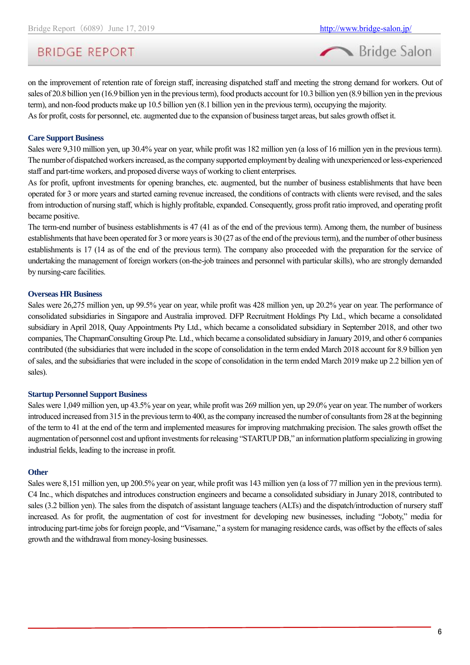

on the improvement of retention rate of foreign staff, increasing dispatched staff and meeting the strong demand for workers. Out of sales of 20.8 billion yen (16.9 billion yen in the previous term), food products account for 10.3 billion yen (8.9 billion yen in the previous term), and non-food products make up 10.5 billion yen (8.1 billion yen in the previous term), occupying the majority. As for profit, costs for personnel, etc. augmented due to the expansion of business target areas, but sales growth offset it.

## **Care Support Business**

Sales were 9,310 million yen, up 30.4% year on year, while profit was 182 million yen (a loss of 16 million yen in the previous term). The number of dispatched workersincreased, as the company supported employment by dealing with unexperienced or less-experienced staff and part-time workers, and proposed diverse ways of working to client enterprises.

As for profit, upfront investments for opening branches, etc. augmented, but the number of business establishments that have been operated for 3 or more years and started earning revenue increased, the conditions of contracts with clients were revised, and the sales from introduction of nursing staff, which is highly profitable, expanded. Consequently, gross profit ratio improved, and operating profit became positive.

The term-end number of business establishments is 47 (41 as of the end of the previous term). Among them, the number of business establishments that have been operated for 3 or more years is 30 (27 as of the end of the previous term), and the number of other business establishments is 17 (14 as of the end of the previous term). The company also proceeded with the preparation for the service of undertaking the management of foreign workers (on-the-job trainees and personnel with particular skills), who are strongly demanded by nursing-care facilities.

#### **Overseas HR Business**

Sales were 26,275 million yen, up 99.5% year on year, while profit was 428 million yen, up 20.2% year on year. The performance of consolidated subsidiaries in Singapore and Australia improved. DFP Recruitment Holdings Pty Ltd., which became a consolidated subsidiary in April 2018, Quay Appointments Pty Ltd., which became a consolidated subsidiary in September 2018, and other two companies, The ChapmanConsulting Group Pte. Ltd., which became a consolidated subsidiary in January 2019, and other 6 companies contributed (the subsidiaries that were included in the scope of consolidation in the term ended March 2018 account for 8.9 billion yen of sales, and the subsidiaries that were included in the scope of consolidation in the term ended March 2019 make up 2.2 billion yen of sales).

#### **Startup Personnel Support Business**

Sales were 1,049 million yen, up 43.5% year on year, while profit was 269 million yen, up 29.0% year on year. The number of workers introduced increased from 315 in the previous term to 400, as the company increased the number of consultants from 28 at the beginning of the term to 41 at the end of the term and implemented measures for improving matchmaking precision. The sales growth offset the augmentation of personnel cost and upfront investments for releasing "STARTUP DB," an information platform specializing in growing industrial fields, leading to the increase in profit.

#### **Other**

Sales were 8,151 million yen, up 200.5% year on year, while profit was 143 million yen (a loss of 77 million yen in the previous term). C4 Inc., which dispatches and introduces construction engineers and became a consolidated subsidiary in Junary 2018, contributed to sales (3.2 billion yen). The sales from the dispatch of assistant language teachers (ALTs) and the dispatch/introduction of nursery staff increased. As for profit, the augmentation of cost for investment for developing new businesses, including "Joboty," media for introducing part-time jobs for foreign people, and "Visamane," a system for managing residence cards, was offset by the effects of sales growth and the withdrawal from money-losing businesses.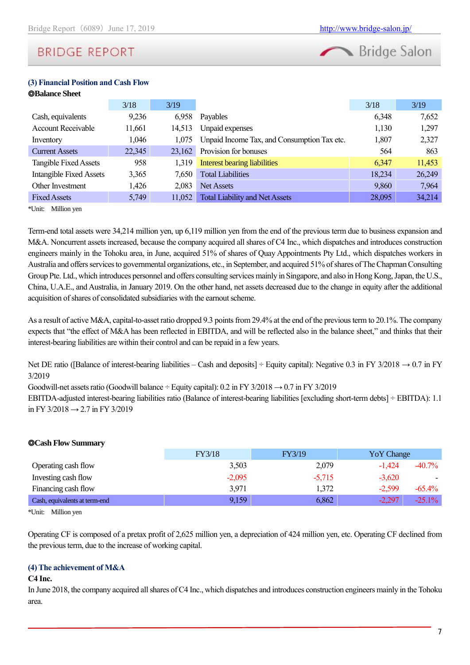

#### **(3) Financial Position and Cash Flow** ◎**Balance Sheet**

|                                | 3/18   | 3/19   |                                             | 3/18   | 3/19   |
|--------------------------------|--------|--------|---------------------------------------------|--------|--------|
| Cash, equivalents              | 9,236  | 6.958  | Payables                                    | 6,348  | 7,652  |
| <b>Account Receivable</b>      | 11,661 | 14.513 | Unpaid expenses                             | 1,130  | 1,297  |
| Inventory                      | 1,046  | 1.075  | Unpaid Income Tax, and Consumption Tax etc. | 1,807  | 2,327  |
| <b>Current Assets</b>          | 22,345 | 23,162 | Provision for bonuses                       | 564    | 863    |
| Tangible Fixed Assets          | 958    | 1.319  | <b>Interest bearing liabilities</b>         | 6,347  | 11,453 |
| <b>Intangible Fixed Assets</b> | 3,365  | 7.650  | <b>Total Liabilities</b>                    | 18,234 | 26,249 |
| Other Investment               | 1,426  | 2,083  | Net Assets                                  | 9,860  | 7,964  |
| <b>Fixed Assets</b>            | 5,749  | 11,052 | <b>Total Liability and Net Assets</b>       | 28,095 | 34,214 |

\*Unit: Million yen

Term-end total assets were 34,214 million yen, up 6,119 million yen from the end of the previous term due to business expansion and M&A. Noncurrent assets increased, because the company acquired all shares of C4 Inc., which dispatches and introduces construction engineers mainly in the Tohoku area, in June, acquired 51% of shares of Quay Appointments Pty Ltd., which dispatches workers in Australia and offers services to governmental organizations, etc., in September, and acquired 51% of shares of The Chapman Consulting Group Pte. Ltd., which introduces personnel and offers consulting services mainly in Singapore, and also in Hong Kong, Japan, the U.S., China, U.A.E., and Australia, in January 2019. On the other hand, net assets decreased due to the change in equity after the additional acquisition of shares of consolidated subsidiaries with the earnout scheme.

As a result of active M&A, capital-to-asset ratio dropped 9.3 points from 29.4% at the end of the previous term to 20.1%. The company expects that "the effect of M&A has been reflected in EBITDA, and will be reflected also in the balance sheet," and thinks that their interest-bearing liabilities are within their control and can be repaid in a few years.

Net DE ratio ([Balance of interest-bearing liabilities – Cash and deposits]  $\div$  Equity capital): Negative 0.3 in FY 3/2018  $\rightarrow$  0.7 in FY 3/2019

Goodwill-net assets ratio (Goodwill balance ÷ Equity capital):  $0.2$  in FY 3/2018  $\rightarrow$  0.7 in FY 3/2019

EBITDA-adjusted interest-bearing liabilities ratio (Balance of interest-bearing liabilities [excluding short-term debts] ÷ EBITDA): 1.1 in FY 3/2018 → 2.7 in FY 3/2019

| <b>©Cash Flow Summary</b>     |               |               |                       |
|-------------------------------|---------------|---------------|-----------------------|
|                               | <b>FY3/18</b> | <b>FY3/19</b> | YoY Change            |
| Operating cash flow           | 3,503         | 2,079         | $-1,424$<br>$-40.7\%$ |
| Investing cash flow           | $-2,095$      | $-5,715$      | $-3,620$              |
| Financing cash flow           | 3,971         | 1,372         | $-2,599$<br>$-65.4\%$ |
| Cash, equivalents at term-end | 9,159         | 6,862         | $-2,297$<br>$-25.1\%$ |

\*Unit: Million yen

Operating CF is composed of a pretax profit of 2,625 million yen, a depreciation of 424 million yen, etc. Operating CF declined from the previous term, due to the increase of working capital.

# **(4) The achievement of M&A**

## **C4 Inc.**

In June 2018, the company acquired all shares of C4 Inc., which dispatches and introduces construction engineers mainly in the Tohoku area.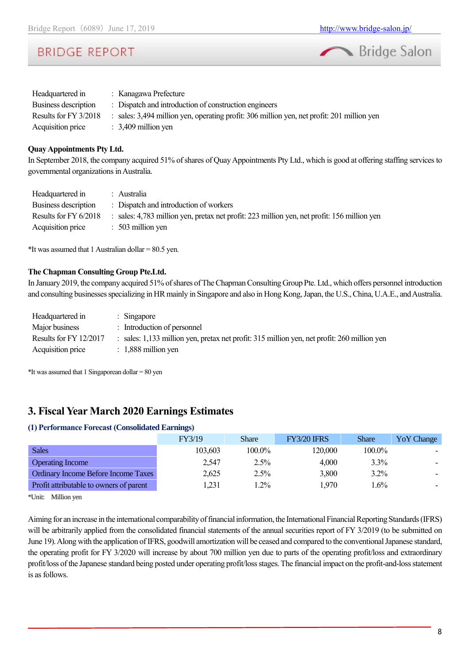Bridge Salon

| Headquartered in      | : Kanagawa Prefecture                                                                    |
|-----------------------|------------------------------------------------------------------------------------------|
| Business description  | : Dispatch and introduction of construction engineers                                    |
| Results for FY 3/2018 | sales: 3,494 million yen, operating profit: 306 million yen, net profit: 201 million yen |
| Acquisition price     | $\therefore$ 3,409 million yen                                                           |

## **Quay Appointments Pty Ltd.**

In September 2018, the company acquired 51% of shares of Quay Appointments Pty Ltd., which is good at offering staffing services to governmental organizations in Australia.

| Headquartered in      | : Australia                                                                                 |
|-----------------------|---------------------------------------------------------------------------------------------|
| Business description  | : Dispatch and introduction of workers                                                      |
| Results for FY 6/2018 | : sales: 4,783 million yen, pretax net profit: 223 million yen, net profit: 156 million yen |
| Acquisition price     | $\therefore$ 503 million yen                                                                |

\*It was assumed that 1 Australian dollar =  $80.5$  yen.

## **The Chapman Consulting Group Pte.Ltd.**

In January 2019, the company acquired 51% of shares of The Chapman Consulting Group Pte. Ltd., which offers personnel introduction and consulting businesses specializing in HR mainly in Singapore and also in Hong Kong, Japan, the U.S., China, U.A.E., and Australia.

| Headquartered in       | $:$ Singapore                                                                             |
|------------------------|-------------------------------------------------------------------------------------------|
| Major business         | : Introduction of personnel                                                               |
| Results for FY 12/2017 | sales: 1,133 million yen, pretax net profit: 315 million yen, net profit: 260 million yen |
| Acquisition price      | $: 1,888$ million yen                                                                     |

 $*$ It was assumed that 1 Singaporean dollar = 80 yen

# **3. Fiscal Year March 2020 Earnings Estimates**

## **(1) Performance Forecast (Consolidated Earnings)**

|                                            | FY3/19  | <b>Share</b> | <b>FY3/20 IFRS</b> | <b>Share</b> | YoY Change |
|--------------------------------------------|---------|--------------|--------------------|--------------|------------|
| <b>Sales</b>                               | 103,603 | 100.0%       | 120,000            | 100.0%       |            |
| <b>Operating Income</b>                    | 2,547   | $2.5\%$      | 4,000              | $3.3\%$      |            |
| <b>Ordinary Income Before Income Taxes</b> | 2,625   | $2.5\%$      | 3,800              | $3.2\%$      |            |
| Profit attributable to owners of parent    | 1,231   | 1.2%         | 1.970              | $1.6\%$      |            |

\*Unit: Million yen

Aiming for an increase in the international comparability of financial information, the International Financial Reporting Standards (IFRS) will be arbitrarily applied from the consolidated financial statements of the annual securities report of FY 3/2019 (to be submitted on June 19). Along with the application of IFRS, goodwill amortization will be ceased and compared to the conventional Japanese standard, the operating profit for FY 3/2020 will increase by about 700 million yen due to parts of the operating profit/loss and extraordinary profit/loss of the Japanese standard being posted under operating profit/loss stages. The financial impact on the profit-and-loss statement is as follows.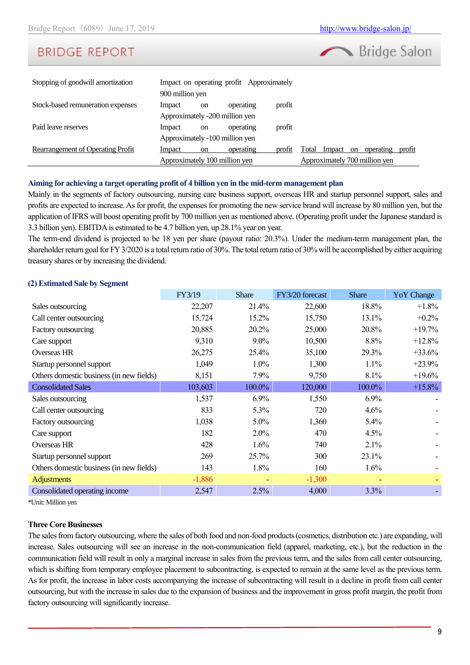# **BRIDGE REPORT**

| Stopping of goodwill amortization | Impact on operating profit Approximately<br>900 million yen |    |                               |        |                                              |
|-----------------------------------|-------------------------------------------------------------|----|-------------------------------|--------|----------------------------------------------|
| Stock-based remuneration expenses | Impact                                                      | on | operating                     | profit |                                              |
|                                   | Approximately -200 million yen                              |    |                               |        |                                              |
| Paid leave reserves               | Impact                                                      | on | operating                     | profit |                                              |
|                                   | Approximately -100 million yen                              |    |                               |        |                                              |
| Rearrangement of Operating Profit | Impact                                                      | on | operating                     | profit | Total<br>Impact<br>profit<br>operating<br>on |
|                                   | Approximately 100 million yen                               |    | Approximately 700 million yen |        |                                              |

### **Aiming for achieving a target operating profit of 4 billion yen in the mid-term management plan**

Mainly in the segments of factory outsourcing, nursing care business support, overseas HR and startup personnel support, sales and profits are expected to increase. As for profit, the expenses for promoting the new service brand will increase by 80 million yen, but the application of IFRS will boost operating profit by 700 million yen as mentioned above. (Operating profit under the Japanese standard is 3.3 billion yen). EBITDA is estimated to be 4.7 billion yen, up 28.1% year on year.

The term-end dividend is projected to be 18 yen per share (payout ratio: 20.3%). Under the medium-term management plan, the shareholder return goal for FY 3/2020 is a total return ratio of 30%. The total return ratio of 30% will be accomplished by either acquiring treasury shares or by increasing the dividend.

### **(2) Estimated Sale by Segment**

|                                          | FY3/19   | <b>Share</b> | FY3/20 forecast | <b>Share</b> | <b>YoY</b> Change |
|------------------------------------------|----------|--------------|-----------------|--------------|-------------------|
| Sales outsourcing                        | 22,207   | 21.4%        | 22,600          | 18.8%        | $+1.8\%$          |
| Call center outsourcing                  | 15,724   | 15.2%        | 15,750          | 13.1%        | $+0.2\%$          |
| Factory outsourcing                      | 20,885   | 20.2%        | 25,000          | 20.8%        | $+19.7%$          |
| Care support                             | 9,310    | $9.0\%$      | 10,500          | 8.8%         | $+12.8%$          |
| Overseas HR                              | 26,275   | 25.4%        | 35,100          | 29.3%        | $+33.6%$          |
| Startup personnel support                | 1,049    | 1.0%         | 1,300           | 1.1%         | $+23.9%$          |
| Others domestic business (in new fields) | 8,151    | 7.9%         | 9,750           | 8.1%         | $+19.6%$          |
| <b>Consolidated Sales</b>                | 103,603  | 100.0%       | 120,000         | 100.0%       | $+15.8%$          |
| Sales outsourcing                        | 1,537    | 6.9%         | 1,550           | 6.9%         |                   |
| Call center outsourcing                  | 833      | 5.3%         | 720             | 4.6%         |                   |
| Factory outsourcing                      | 1,038    | $5.0\%$      | 1,360           | 5.4%         |                   |
| Care support                             | 182      | $2.0\%$      | 470             | 4.5%         |                   |
| Overseas HR                              | 428      | 1.6%         | 740             | 2.1%         |                   |
| Startup personnel support                | 269      | 25.7%        | 300             | 23.1%        |                   |
| Others domestic business (in new fields) | 143      | 1.8%         | 160             | 1.6%         |                   |
| <b>Adjustments</b>                       | $-1,886$ |              | $-1,300$        |              |                   |
| Consolidated operating income            | 2,547    | 2.5%         | 4,000           | 3.3%         |                   |

\*Unit: Million yen

## **Three Core Businesses**

The sales from factory outsourcing, where the sales of both food and non-food products (cosmetics, distribution etc.) are expanding, will increase. Sales outsourcing will see an increase in the non-communication field (apparel, marketing, etc.), but the reduction in the communication field will result in only a marginal increase in sales from the previous term, and the sales from call center outsourcing, which is shifting from temporary employee placement to subcontracting, is expected to remain at the same level as the previous term. As for profit, the increase in labor costs accompanying the increase of subcontracting will result in a decline in profit from call center outsourcing, but with the increase in sales due to the expansion of business and the improvement in gross profit margin, the profit from factory outsourcing will significantly increase.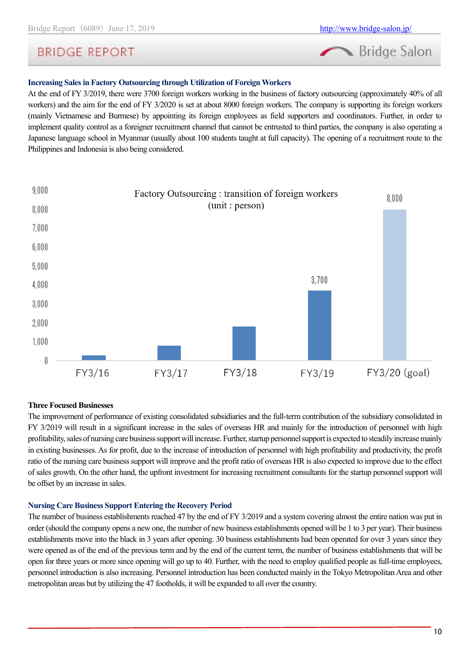Bridge Salon

# **Increasing Sales in Factory Outsourcing through Utilization of Foreign Workers**

At the end of FY 3/2019, there were 3700 foreign workers working in the business of factory outsourcing (approximately 40% of all workers) and the aim for the end of FY 3/2020 is set at about 8000 foreign workers. The company is supporting its foreign workers (mainly Vietnamese and Burmese) by appointing its foreign employees as field supporters and coordinators. Further, in order to implement quality control as a foreigner recruitment channel that cannot be entrusted to third parties, the company is also operating a Japanese language school in Myanmar (usually about 100 students taught at full capacity). The opening of a recruitment route to the Philippines and Indonesia is also being considered.



## **Three Focused Businesses**

The improvement of performance of existing consolidated subsidiaries and the full-term contribution of the subsidiary consolidated in FY 3/2019 will result in a significant increase in the sales of overseas HR and mainly for the introduction of personnel with high profitability, sales of nursing care business support will increase. Further, startup personnel support is expected to steadily increase mainly in existing businesses. As for profit, due to the increase of introduction of personnel with high profitability and productivity, the profit ratio of the nursing care business support will improve and the profit ratio of overseas HR is also expected to improve due to the effect of sales growth. On the other hand, the upfront investment for increasing recruitment consultants for the startup personnel support will be offset by an increase in sales.

## **Nursing Care Business Support Entering the Recovery Period**

The number of business establishments reached 47 by the end of FY 3/2019 and a system covering almost the entire nation was put in order (should the company opens a new one, the number of new business establishments opened will be 1 to 3 per year). Their business establishments move into the black in 3 years after opening. 30 business establishments had been operated for over 3 years since they were opened as of the end of the previous term and by the end of the current term, the number of business establishments that will be open for three years or more since opening will go up to 40. Further, with the need to employ qualified people as full-time employees, personnel introduction is also increasing. Personnel introduction has been conducted mainly in the Tokyo Metropolitan Area and other metropolitan areas but by utilizing the 47 footholds, it will be expanded to all over the country.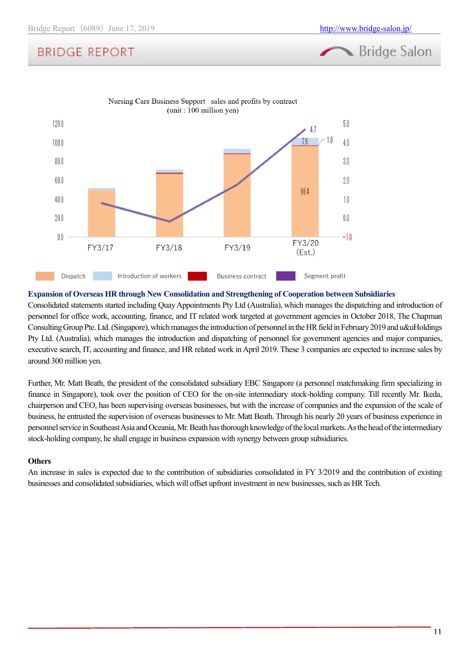# **BRIDGE REPORT**



Nursing Care Business Support sales and profits by contract

### **Expansion of Overseas HR through New Consolidation and Strengthening of Cooperation between Subsidiaries**

Consolidated statements started including Quay Appointments Pty Ltd (Australia), which manages the dispatching and introduction of personnel for office work, accounting, finance, and IT related work targeted at government agencies in October 2018, The Chapman Consulting Group Pte. Ltd. (Singapore), which manages the introduction of personnel in the HR field in February 2019 and u&uHoldings Pty Ltd. (Australia), which manages the introduction and dispatching of personnel for government agencies and major companies, executive search, IT, accounting and finance, and HR related work in April 2019. These 3 companies are expected to increase sales by around 300 million yen.

Further, Mr. Matt Beath, the president of the consolidated subsidiary EBC Singapore (a personnel matchmaking firm specializing in finance in Singapore), took over the position of CEO for the on-site intermediary stock-holding company. Till recently Mr. Ikeda, chairperson and CEO, has been supervising overseas businesses, but with the increase of companies and the expansion of the scale of business, he entrusted the supervision of overseas businesses to Mr. Matt Beath. Through his nearly 20 years of business experience in personnel service in Southeast Asia and Oceania, Mr. Beath has thorough knowledge of the local markets. Asthe head of the intermediary stock-holding company, he shall engage in business expansion with synergy between group subsidiaries.

## **Others**

An increase in sales is expected due to the contribution of subsidiaries consolidated in FY 3/2019 and the contribution of existing businesses and consolidated subsidiaries, which will offset upfront investment in new businesses, such as HR Tech.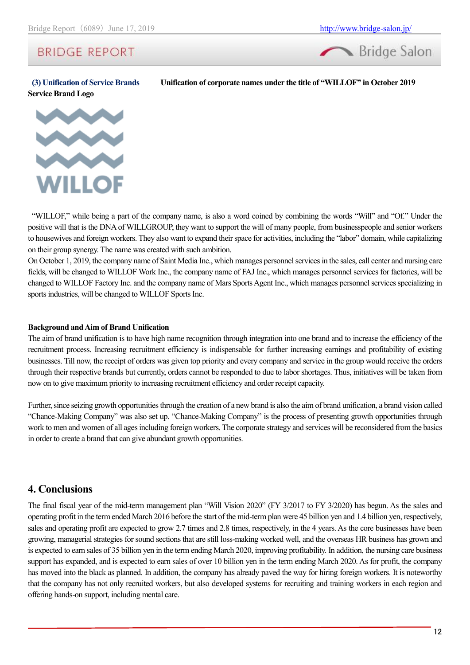# **BRIDGE REPORT**

**(3) Unification of Service Brands Unification of corporate names under the title of "WILLOF" in October 2019**

**Service Brand Logo**



"WILLOF," while being a part of the company name, is also a word coined by combining the words "Will" and "Of." Under the positive will that is the DNA of WILLGROUP, they want to support the will of many people, from businesspeople and senior workers to housewives and foreign workers. They also want to expand their space for activities, including the "labor" domain, while capitalizing on their group synergy. The name was created with such ambition.

On October 1, 2019, the company name of Saint Media Inc., which manages personnel services in the sales, call center and nursing care fields, will be changed to WILLOF Work Inc., the company name of FAJ Inc., which manages personnel services for factories, will be changed to WILLOF Factory Inc. and the company name of Mars Sports Agent Inc., which manages personnel services specializing in sports industries, will be changed to WILLOF Sports Inc.

## **Background and Aim of Brand Unification**

The aim of brand unification is to have high name recognition through integration into one brand and to increase the efficiency of the recruitment process. Increasing recruitment efficiency is indispensable for further increasing earnings and profitability of existing businesses. Till now, the receipt of orders was given top priority and every company and service in the group would receive the orders through their respective brands but currently, orders cannot be responded to due to labor shortages. Thus, initiatives will be taken from now on to give maximum priority to increasing recruitment efficiency and order receipt capacity.

Further, since seizing growth opportunities through the creation of a new brand is also the aim of brand unification, a brand vision called "Chance-Making Company" was also set up. "Chance-Making Company" is the process of presenting growth opportunities through work to men and women of all ages including foreign workers. The corporate strategy and services will be reconsidered from the basics in order to create a brand that can give abundant growth opportunities.

# **4. Conclusions**

The final fiscal year of the mid-term management plan "Will Vision 2020" (FY 3/2017 to FY 3/2020) has begun. As the sales and operating profit in the term ended March 2016 before the start of the mid-term plan were 45 billion yen and 1.4 billion yen, respectively, sales and operating profit are expected to grow 2.7 times and 2.8 times, respectively, in the 4 years. As the core businesses have been growing, managerial strategies for sound sections that are still loss-making worked well, and the overseas HR business has grown and is expected to earn sales of 35 billion yen in the term ending March 2020, improving profitability. In addition, the nursing care business support has expanded, and is expected to earn sales of over 10 billion yen in the term ending March 2020. As for profit, the company has moved into the black as planned. In addition, the company has already paved the way for hiring foreign workers. It is noteworthy that the company has not only recruited workers, but also developed systems for recruiting and training workers in each region and offering hands-on support, including mental care.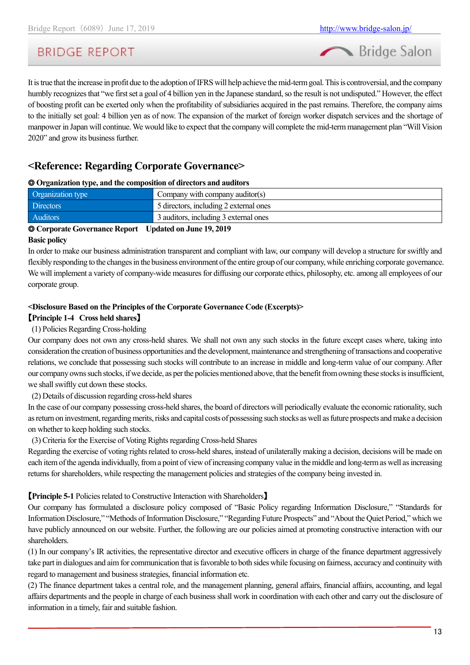

It is true that the increase in profit due to the adoption of IFRS will help achieve the mid-term goal. This is controversial, and the company humbly recognizes that "we first set a goal of 4 billion yen in the Japanese standard, so the result is not undisputed." However, the effect of boosting profit can be exerted only when the profitability of subsidiaries acquired in the past remains. Therefore, the company aims to the initially set goal: 4 billion yen as of now. The expansion of the market of foreign worker dispatch services and the shortage of manpower in Japan will continue. We would like to expect that the company will complete the mid-term management plan "Will Vision 2020" and grow its business further.

# **<Reference: Regarding Corporate Governance>**

# ◎ **Organization type, and the composition of directors and auditors**

| Organization type                                       | Company with company auditor(s)        |
|---------------------------------------------------------|----------------------------------------|
| <b>Directors</b>                                        | 5 directors, including 2 external ones |
| <b>Auditors</b>                                         | 3 auditors, including 3 external ones  |
| © Cornorate Governance Report Holdated on June 19, 2019 |                                        |

# ◎ **Corporate Governance Report Updated on June 19, 2019**

**Basic policy**

In order to make our business administration transparent and compliant with law, our company will develop a structure for swiftly and flexibly responding to the changes in the business environment of the entire group of our company, while enriching corporate governance. We will implement a variety of company-wide measures for diffusing our corporate ethics, philosophy, etc. among all employees of our corporate group.

# **<Disclosure Based on the Principles of the Corporate Governance Code (Excerpts)>**

# 【**Principle 1-4 Cross held shares**】

(1) Policies Regarding Cross-holding

Our company does not own any cross-held shares. We shall not own any such stocks in the future except cases where, taking into consideration the creation of business opportunities and the development, maintenance and strengthening of transactions and cooperative relations, we conclude that possessing such stocks will contribute to an increase in middle and long-term value of our company. After our company owns such stocks, if we decide, as per the policies mentioned above, that the benefit from owning these stocks is insufficient, we shall swiftly cut down these stocks.

(2) Details of discussion regarding cross-held shares

In the case of our company possessing cross-held shares, the board of directors will periodically evaluate the economic rationality, such asreturn on investment, regarding merits, risks and capital costs of possessing such stocks as well as future prospects and make a decision on whether to keep holding such stocks.

(3) Criteria for the Exercise of Voting Rights regarding Cross-held Shares

Regarding the exercise of voting rights related to cross-held shares, instead of unilaterally making a decision, decisions will be made on each item of the agenda individually, from a point of view of increasing company value in the middle and long-term as well as increasing returns for shareholders, while respecting the management policies and strategies of the company being invested in.

# 【**Principle 5-1** Policies related to Constructive Interaction with Shareholders】

Our company has formulated a disclosure policy composed of "Basic Policy regarding Information Disclosure," "Standards for Information Disclosure," "Methods of Information Disclosure," "Regarding Future Prospects" and "About the Quiet Period," which we have publicly announced on our website. Further, the following are our policies aimed at promoting constructive interaction with our shareholders.

(1) In our company's IR activities, the representative director and executive officers in charge of the finance department aggressively take part in dialogues and aim for communication that is favorable to both sides while focusing on fairness, accuracy and continuity with regard to management and business strategies, financial information etc.

(2) The finance department takes a central role, and the management planning, general affairs, financial affairs, accounting, and legal affairs departments and the people in charge of each business shall work in coordination with each other and carry out the disclosure of information in a timely, fair and suitable fashion.